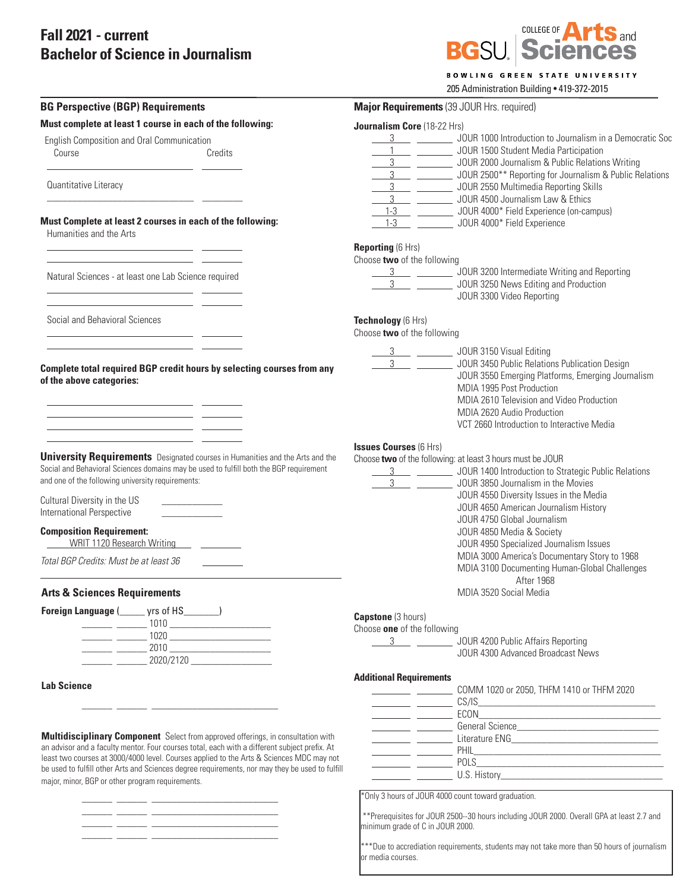## **Fall 2021 - current Bachelor of Science in Journalism**

\_\_\_\_\_\_ \_\_\_\_\_\_ \_\_\_\_\_\_\_\_\_\_\_\_\_\_\_\_\_\_\_\_\_\_\_\_\_



|  | <b>BOWLING GREEN STATE UNIVERSITY</b> |
|--|---------------------------------------|
|  |                                       |

205 Administration Building • 419-372-2015

| Major Requirements (39 JOUR Hrs. required)                                                                                                                                                                                                                                                                                    |
|-------------------------------------------------------------------------------------------------------------------------------------------------------------------------------------------------------------------------------------------------------------------------------------------------------------------------------|
| Journalism Core (18-22 Hrs)                                                                                                                                                                                                                                                                                                   |
| 3 ____ __________ JOUR 1000 Introduction to Journalism in a Democratic Soc<br>1 ______________ JOUR 1500 Student Media Participation<br>3 JOUR 2000 Journalism & Public Relations Writing<br>3 ___ _________ JOUR 2500** Reporting for Journalism & Public Relations<br>3 ___ _________ JOUR 2550 Multimedia Reporting Skills |
| 3 ____ __________ JOUR 4500 Journalism Law & Ethics<br>1-3 __ __________ JOUR 4000* Field Experience (on-campus)<br>1-3 __ _________ JOUR 4000* Field Experience<br><b>Reporting (6 Hrs)</b>                                                                                                                                  |
| Choose two of the following<br>3 JOUR 3200 Intermediate Writing and Reporting<br>3 ____ _________ JOUR 3250 News Editing and Production<br>JOUR 3300 Video Reporting                                                                                                                                                          |
| Technology (6 Hrs)<br>Choose two of the following                                                                                                                                                                                                                                                                             |
| 3 ___ __________ JOUR 3150 Visual Editing<br>$3 \qquad \qquad$<br>JOUR 3450 Public Relations Publication Design<br>JOUR 3550 Emerging Platforms, Emerging Journalism<br>MDIA 1995 Post Production<br>MDIA 2610 Television and Video Production<br>MDIA 2620 Audio Production<br>VCT 2660 Introduction to Interactive Media    |
| <b>Issues Courses (6 Hrs)</b><br>Choose two of the following: at least 3 hours must be JOUR<br>3 ____ _________ JOUR 1400 Introduction to Strategic Public Relations<br>JOUR 3850 Journalism in the Movies<br>JOUR 4550 Diversity Issues in the Media<br>JOUR 4650 American Journalism History<br>JOUR 4750 Global Journalism |
| JOUR 4850 Media & Society<br>JOUR 4950 Specialized Journalism Issues<br>MDIA 3000 America's Documentary Story to 1968<br>MDIA 3100 Documenting Human-Global Challenges                                                                                                                                                        |
| After 1968<br>MDIA 3520 Social Media                                                                                                                                                                                                                                                                                          |
| <b>Capstone</b> (3 hours)<br>Choose one of the following<br>3 ___ ________ JOUR 4200 Public Affairs Reporting<br>JOUR 4300 Advanced Broadcast News                                                                                                                                                                            |
| <b>Additional Requirements</b><br>COMM 1020 or 2050, THFM 1410 or THFM 2020                                                                                                                                                                                                                                                   |
|                                                                                                                                                                                                                                                                                                                               |
|                                                                                                                                                                                                                                                                                                                               |

\*\*\*Due to accrediation requirements, students may not take more than 50 hours of journalism or media courses.